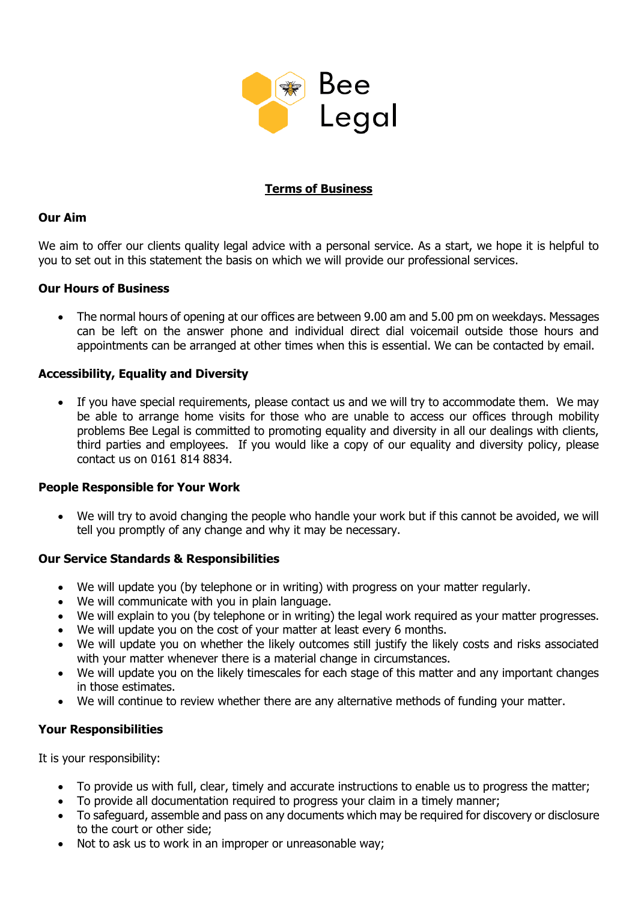

# **Terms of Business**

## **Our Aim**

We aim to offer our clients quality legal advice with a personal service. As a start, we hope it is helpful to you to set out in this statement the basis on which we will provide our professional services.

#### **Our Hours of Business**

• The normal hours of opening at our offices are between 9.00 am and 5.00 pm on weekdays. Messages can be left on the answer phone and individual direct dial voicemail outside those hours and appointments can be arranged at other times when this is essential. We can be contacted by email.

#### **Accessibility, Equality and Diversity**

• If you have special requirements, please contact us and we will try to accommodate them. We may be able to arrange home visits for those who are unable to access our offices through mobility problems Bee Legal is committed to promoting equality and diversity in all our dealings with clients, third parties and employees. If you would like a copy of our equality and diversity policy, please contact us on 0161 814 8834.

#### **People Responsible for Your Work**

• We will try to avoid changing the people who handle your work but if this cannot be avoided, we will tell you promptly of any change and why it may be necessary.

## **Our Service Standards & Responsibilities**

- We will update you (by telephone or in writing) with progress on your matter regularly.
- We will communicate with you in plain language.
- We will explain to you (by telephone or in writing) the legal work required as your matter progresses.
- We will update you on the cost of your matter at least every 6 months.
- We will update you on whether the likely outcomes still justify the likely costs and risks associated with your matter whenever there is a material change in circumstances.
- We will update you on the likely timescales for each stage of this matter and any important changes in those estimates.
- We will continue to review whether there are any alternative methods of funding your matter.

## **Your Responsibilities**

It is your responsibility:

- To provide us with full, clear, timely and accurate instructions to enable us to progress the matter;
- To provide all documentation required to progress your claim in a timely manner;
- To safeguard, assemble and pass on any documents which may be required for discovery or disclosure to the court or other side;
- Not to ask us to work in an improper or unreasonable way;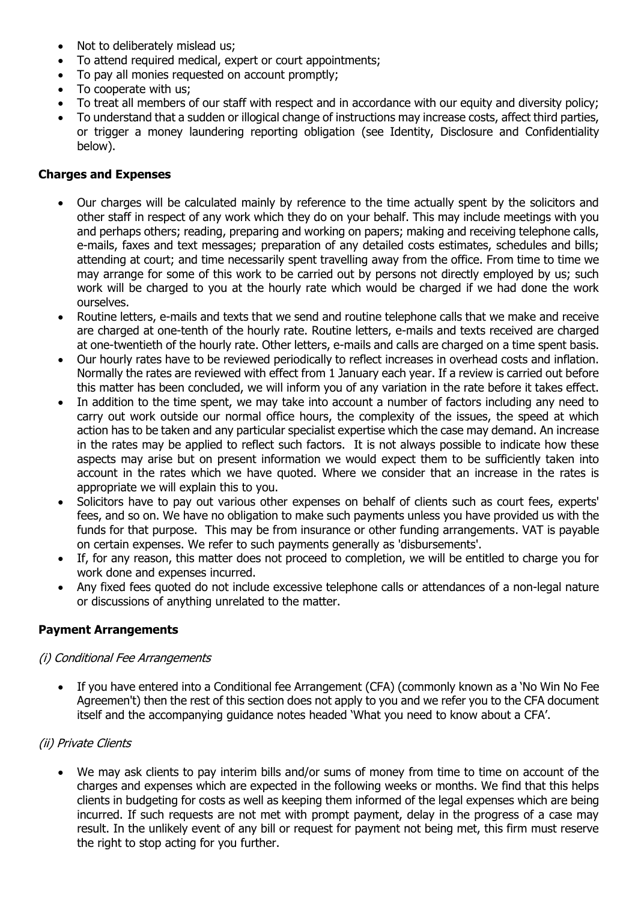- Not to deliberately mislead us;
- To attend required medical, expert or court appointments;
- To pay all monies requested on account promptly;
- To cooperate with us:
- To treat all members of our staff with respect and in accordance with our equity and diversity policy;
- To understand that a sudden or illogical change of instructions may increase costs, affect third parties, or trigger a money laundering reporting obligation (see Identity, Disclosure and Confidentiality below).

#### **Charges and Expenses**

- Our charges will be calculated mainly by reference to the time actually spent by the solicitors and other staff in respect of any work which they do on your behalf. This may include meetings with you and perhaps others; reading, preparing and working on papers; making and receiving telephone calls, e-mails, faxes and text messages; preparation of any detailed costs estimates, schedules and bills; attending at court; and time necessarily spent travelling away from the office. From time to time we may arrange for some of this work to be carried out by persons not directly employed by us; such work will be charged to you at the hourly rate which would be charged if we had done the work ourselves.
- Routine letters, e-mails and texts that we send and routine telephone calls that we make and receive are charged at one-tenth of the hourly rate. Routine letters, e-mails and texts received are charged at one-twentieth of the hourly rate. Other letters, e-mails and calls are charged on a time spent basis.
- Our hourly rates have to be reviewed periodically to reflect increases in overhead costs and inflation. Normally the rates are reviewed with effect from 1 January each year. If a review is carried out before this matter has been concluded, we will inform you of any variation in the rate before it takes effect.
- In addition to the time spent, we may take into account a number of factors including any need to carry out work outside our normal office hours, the complexity of the issues, the speed at which action has to be taken and any particular specialist expertise which the case may demand. An increase in the rates may be applied to reflect such factors. It is not always possible to indicate how these aspects may arise but on present information we would expect them to be sufficiently taken into account in the rates which we have quoted. Where we consider that an increase in the rates is appropriate we will explain this to you.
- Solicitors have to pay out various other expenses on behalf of clients such as court fees, experts' fees, and so on. We have no obligation to make such payments unless you have provided us with the funds for that purpose. This may be from insurance or other funding arrangements. VAT is payable on certain expenses. We refer to such payments generally as 'disbursements'.
- If, for any reason, this matter does not proceed to completion, we will be entitled to charge you for work done and expenses incurred.
- Any fixed fees quoted do not include excessive telephone calls or attendances of a non-legal nature or discussions of anything unrelated to the matter.

## **Payment Arrangements**

#### (i) Conditional Fee Arrangements

If you have entered into a Conditional fee Arrangement (CFA) (commonly known as a 'No Win No Fee Agreemen't) then the rest of this section does not apply to you and we refer you to the CFA document itself and the accompanying guidance notes headed 'What you need to know about a CFA'.

## (ii) Private Clients

• We may ask clients to pay interim bills and/or sums of money from time to time on account of the charges and expenses which are expected in the following weeks or months. We find that this helps clients in budgeting for costs as well as keeping them informed of the legal expenses which are being incurred. If such requests are not met with prompt payment, delay in the progress of a case may result. In the unlikely event of any bill or request for payment not being met, this firm must reserve the right to stop acting for you further.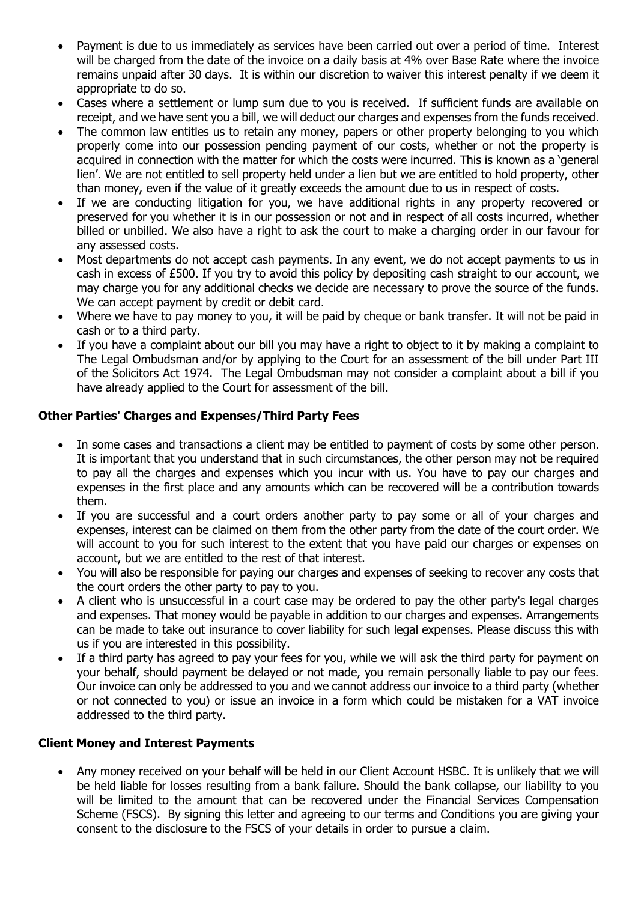- Payment is due to us immediately as services have been carried out over a period of time. Interest will be charged from the date of the invoice on a daily basis at 4% over Base Rate where the invoice remains unpaid after 30 days. It is within our discretion to waiver this interest penalty if we deem it appropriate to do so.
- Cases where a settlement or lump sum due to you is received. If sufficient funds are available on receipt, and we have sent you a bill, we will deduct our charges and expenses from the funds received.
- The common law entitles us to retain any money, papers or other property belonging to you which properly come into our possession pending payment of our costs, whether or not the property is acquired in connection with the matter for which the costs were incurred. This is known as a 'general lien'. We are not entitled to sell property held under a lien but we are entitled to hold property, other than money, even if the value of it greatly exceeds the amount due to us in respect of costs.
- If we are conducting litigation for you, we have additional rights in any property recovered or preserved for you whether it is in our possession or not and in respect of all costs incurred, whether billed or unbilled. We also have a right to ask the court to make a charging order in our favour for any assessed costs.
- Most departments do not accept cash payments. In any event, we do not accept payments to us in cash in excess of £500. If you try to avoid this policy by depositing cash straight to our account, we may charge you for any additional checks we decide are necessary to prove the source of the funds. We can accept payment by credit or debit card.
- Where we have to pay money to you, it will be paid by cheque or bank transfer. It will not be paid in cash or to a third party.
- If you have a complaint about our bill you may have a right to object to it by making a complaint to The Legal Ombudsman and/or by applying to the Court for an assessment of the bill under Part III of the Solicitors Act 1974. The Legal Ombudsman may not consider a complaint about a bill if you have already applied to the Court for assessment of the bill.

## **Other Parties' Charges and Expenses/Third Party Fees**

- In some cases and transactions a client may be entitled to payment of costs by some other person. It is important that you understand that in such circumstances, the other person may not be required to pay all the charges and expenses which you incur with us. You have to pay our charges and expenses in the first place and any amounts which can be recovered will be a contribution towards them.
- If you are successful and a court orders another party to pay some or all of your charges and expenses, interest can be claimed on them from the other party from the date of the court order. We will account to you for such interest to the extent that you have paid our charges or expenses on account, but we are entitled to the rest of that interest.
- You will also be responsible for paying our charges and expenses of seeking to recover any costs that the court orders the other party to pay to you.
- A client who is unsuccessful in a court case may be ordered to pay the other party's legal charges and expenses. That money would be payable in addition to our charges and expenses. Arrangements can be made to take out insurance to cover liability for such legal expenses. Please discuss this with us if you are interested in this possibility.
- If a third party has agreed to pay your fees for you, while we will ask the third party for payment on your behalf, should payment be delayed or not made, you remain personally liable to pay our fees. Our invoice can only be addressed to you and we cannot address our invoice to a third party (whether or not connected to you) or issue an invoice in a form which could be mistaken for a VAT invoice addressed to the third party.

## **Client Money and Interest Payments**

• Any money received on your behalf will be held in our Client Account HSBC. It is unlikely that we will be held liable for losses resulting from a bank failure. Should the bank collapse, our liability to you will be limited to the amount that can be recovered under the Financial Services Compensation Scheme (FSCS). By signing this letter and agreeing to our terms and Conditions you are giving your consent to the disclosure to the FSCS of your details in order to pursue a claim.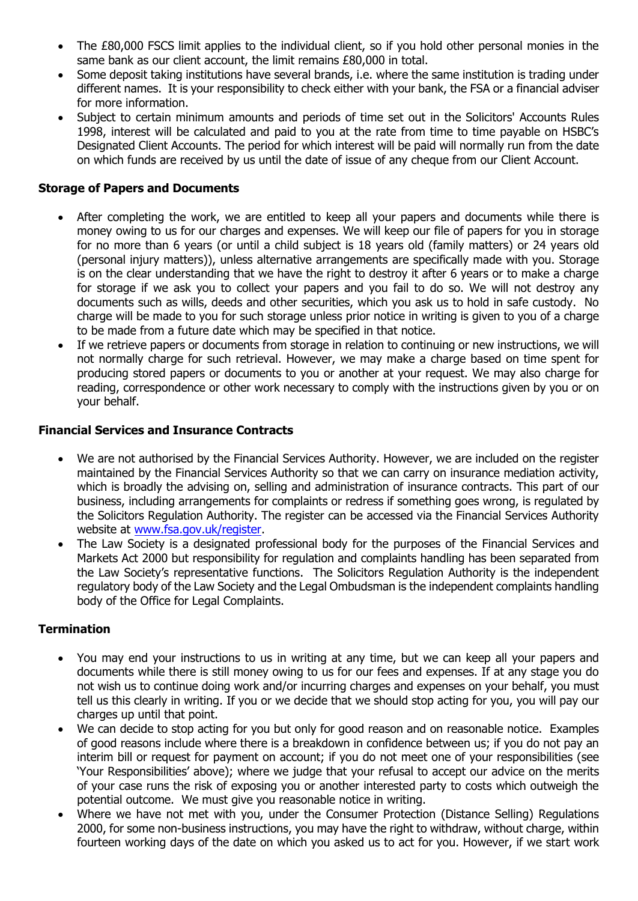- The £80,000 FSCS limit applies to the individual client, so if you hold other personal monies in the same bank as our client account, the limit remains £80,000 in total.
- Some deposit taking institutions have several brands, i.e. where the same institution is trading under different names. It is your responsibility to check either with your bank, the FSA or a financial adviser for more information.
- Subject to certain minimum amounts and periods of time set out in the Solicitors' Accounts Rules 1998, interest will be calculated and paid to you at the rate from time to time payable on HSBC's Designated Client Accounts. The period for which interest will be paid will normally run from the date on which funds are received by us until the date of issue of any cheque from our Client Account.

#### **Storage of Papers and Documents**

- After completing the work, we are entitled to keep all your papers and documents while there is money owing to us for our charges and expenses. We will keep our file of papers for you in storage for no more than 6 years (or until a child subject is 18 years old (family matters) or 24 years old (personal injury matters)), unless alternative arrangements are specifically made with you. Storage is on the clear understanding that we have the right to destroy it after 6 years or to make a charge for storage if we ask you to collect your papers and you fail to do so. We will not destroy any documents such as wills, deeds and other securities, which you ask us to hold in safe custody. No charge will be made to you for such storage unless prior notice in writing is given to you of a charge to be made from a future date which may be specified in that notice.
- If we retrieve papers or documents from storage in relation to continuing or new instructions, we will not normally charge for such retrieval. However, we may make a charge based on time spent for producing stored papers or documents to you or another at your request. We may also charge for reading, correspondence or other work necessary to comply with the instructions given by you or on your behalf.

## **Financial Services and Insurance Contracts**

- We are not authorised by the Financial Services Authority. However, we are included on the register maintained by the Financial Services Authority so that we can carry on insurance mediation activity, which is broadly the advising on, selling and administration of insurance contracts. This part of our business, including arrangements for complaints or redress if something goes wrong, is regulated by the Solicitors Regulation Authority. The register can be accessed via the Financial Services Authority website at [www.fsa.gov.uk/register.](file://///ecl-sv-STORAGE/shareddata/T%20Drive/Client%20Data%20-%20backed%20up/Bee%20Legal/www.fsa.gov.uk/register)
- The Law Society is a designated professional body for the purposes of the Financial Services and Markets Act 2000 but responsibility for regulation and complaints handling has been separated from the Law Society's representative functions. The Solicitors Regulation Authority is the independent regulatory body of the Law Society and the Legal Ombudsman is the independent complaints handling body of the Office for Legal Complaints.

## **Termination**

- You may end your instructions to us in writing at any time, but we can keep all your papers and documents while there is still money owing to us for our fees and expenses. If at any stage you do not wish us to continue doing work and/or incurring charges and expenses on your behalf, you must tell us this clearly in writing. If you or we decide that we should stop acting for you, you will pay our charges up until that point.
- We can decide to stop acting for you but only for good reason and on reasonable notice. Examples of good reasons include where there is a breakdown in confidence between us; if you do not pay an interim bill or request for payment on account; if you do not meet one of your responsibilities (see 'Your Responsibilities' above); where we judge that your refusal to accept our advice on the merits of your case runs the risk of exposing you or another interested party to costs which outweigh the potential outcome. We must give you reasonable notice in writing.
- Where we have not met with you, under the Consumer Protection (Distance Selling) Regulations 2000, for some non-business instructions, you may have the right to withdraw, without charge, within fourteen working days of the date on which you asked us to act for you. However, if we start work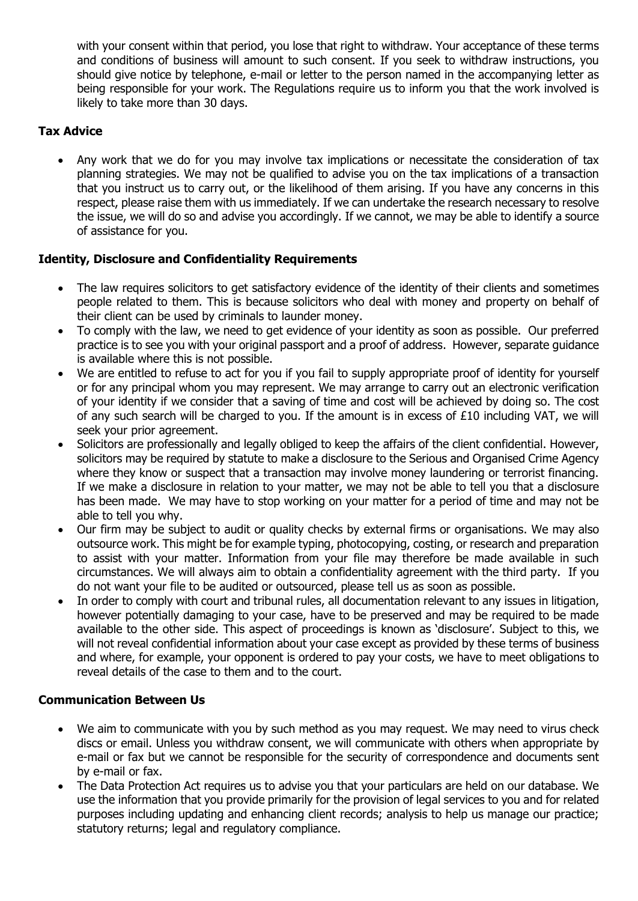with your consent within that period, you lose that right to withdraw. Your acceptance of these terms and conditions of business will amount to such consent. If you seek to withdraw instructions, you should give notice by telephone, e-mail or letter to the person named in the accompanying letter as being responsible for your work. The Regulations require us to inform you that the work involved is likely to take more than 30 days.

# **Tax Advice**

• Any work that we do for you may involve tax implications or necessitate the consideration of tax planning strategies. We may not be qualified to advise you on the tax implications of a transaction that you instruct us to carry out, or the likelihood of them arising. If you have any concerns in this respect, please raise them with us immediately. If we can undertake the research necessary to resolve the issue, we will do so and advise you accordingly. If we cannot, we may be able to identify a source of assistance for you.

# **Identity, Disclosure and Confidentiality Requirements**

- The law requires solicitors to get satisfactory evidence of the identity of their clients and sometimes people related to them. This is because solicitors who deal with money and property on behalf of their client can be used by criminals to launder money.
- To comply with the law, we need to get evidence of your identity as soon as possible. Our preferred practice is to see you with your original passport and a proof of address. However, separate guidance is available where this is not possible.
- We are entitled to refuse to act for you if you fail to supply appropriate proof of identity for yourself or for any principal whom you may represent. We may arrange to carry out an electronic verification of your identity if we consider that a saving of time and cost will be achieved by doing so. The cost of any such search will be charged to you. If the amount is in excess of £10 including VAT, we will seek your prior agreement.
- Solicitors are professionally and legally obliged to keep the affairs of the client confidential. However, solicitors may be required by statute to make a disclosure to the Serious and Organised Crime Agency where they know or suspect that a transaction may involve money laundering or terrorist financing. If we make a disclosure in relation to your matter, we may not be able to tell you that a disclosure has been made. We may have to stop working on your matter for a period of time and may not be able to tell you why.
- Our firm may be subject to audit or quality checks by external firms or organisations. We may also outsource work. This might be for example typing, photocopying, costing, or research and preparation to assist with your matter. Information from your file may therefore be made available in such circumstances. We will always aim to obtain a confidentiality agreement with the third party. If you do not want your file to be audited or outsourced, please tell us as soon as possible.
- In order to comply with court and tribunal rules, all documentation relevant to any issues in litigation, however potentially damaging to your case, have to be preserved and may be required to be made available to the other side. This aspect of proceedings is known as 'disclosure'. Subject to this, we will not reveal confidential information about your case except as provided by these terms of business and where, for example, your opponent is ordered to pay your costs, we have to meet obligations to reveal details of the case to them and to the court.

## **Communication Between Us**

- We aim to communicate with you by such method as you may request. We may need to virus check discs or email. Unless you withdraw consent, we will communicate with others when appropriate by e-mail or fax but we cannot be responsible for the security of correspondence and documents sent by e-mail or fax.
- The Data Protection Act requires us to advise you that your particulars are held on our database. We use the information that you provide primarily for the provision of legal services to you and for related purposes including updating and enhancing client records; analysis to help us manage our practice; statutory returns; legal and regulatory compliance.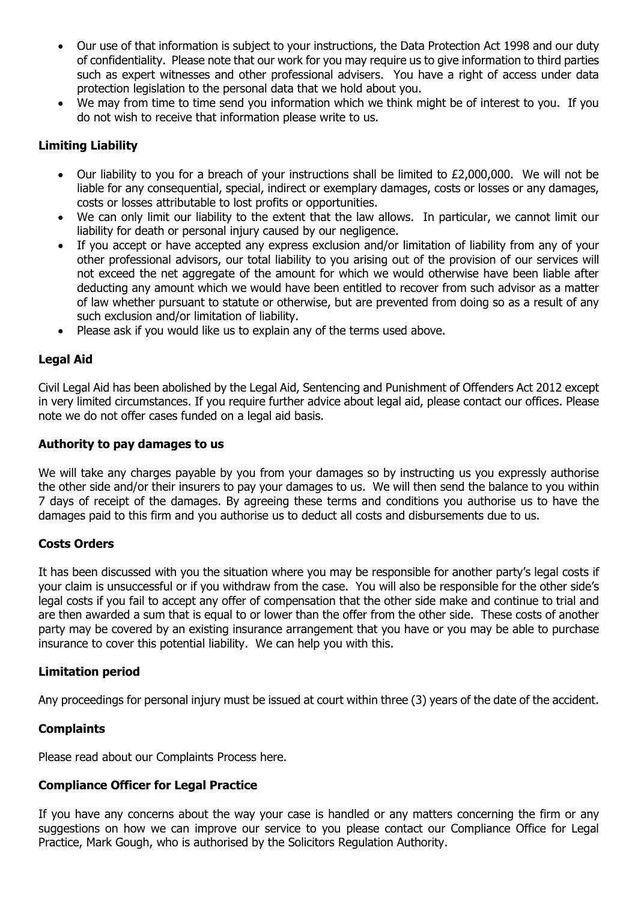- Our use of that information is subject to your instructions, the Data Protection Act 1998 and our duty of confidentiality. Please note that our work for you may require us to give information to third parties such as expert witnesses and other professional advisers. You have a right of access under data protection legislation to the personal data that we hold about you.
- We may from time to time send you information which we think might be of interest to you. If you do not wish to receive that information please write to us.

# **Limiting Liability**

- Our liability to you for a breach of your instructions shall be limited to  $£2,000,000$ . We will not be liable for any consequential, special, indirect or exemplary damages, costs or losses or any damages, costs or losses attributable to lost profits or opportunities.
- We can only limit our liability to the extent that the law allows. In particular, we cannot limit our liability for death or personal injury caused by our negligence.
- If you accept or have accepted any express exclusion and/or limitation of liability from any of your other professional advisors, our total liability to you arising out of the provision of our services will not exceed the net aggregate of the amount for which we would otherwise have been liable after deducting any amount which we would have been entitled to recover from such advisor as a matter of law whether pursuant to statute or otherwise, but are prevented from doing so as a result of any such exclusion and/or limitation of liability.
- Please ask if you would like us to explain any of the terms used above.

## **Legal Aid**

Civil Legal Aid has been abolished by the Legal Aid, Sentencing and Punishment of Offenders Act 2012 except in very limited circumstances. If you require further advice about legal aid, please contact our offices. Please note we do not offer cases funded on a legal aid basis.

#### **Authority to pay damages to us**

We will take any charges payable by you from your damages so by instructing us you expressly authorise the other side and/or their insurers to pay your damages to us. We will then send the balance to you within 7 days of receipt of the damages. By agreeing these terms and conditions you authorise us to have the damages paid to this firm and you authorise us to deduct all costs and disbursements due to us.

## **Costs Orders**

It has been discussed with you the situation where you may be responsible for another party's legal costs if your claim is unsuccessful or if you withdraw from the case. You will also be responsible for the other side's legal costs if you fail to accept any offer of compensation that the other side make and continue to trial and are then awarded a sum that is equal to or lower than the offer from the other side. These costs of another party may be covered by an existing insurance arrangement that you have or you may be able to purchase insurance to cover this potential liability. We can help you with this.

## **Limitation period**

Any proceedings for personal injury must be issued at court within three (3) years of the date of the accident.

## **Complaints**

Please read about our Complaints Process here.

## **Compliance Officer for Legal Practice**

If you have any concerns about the way your case is handled or any matters concerning the firm or any suggestions on how we can improve our service to you please contact our Compliance Office for Legal Practice, Mark Gough, who is authorised by the Solicitors Regulation Authority.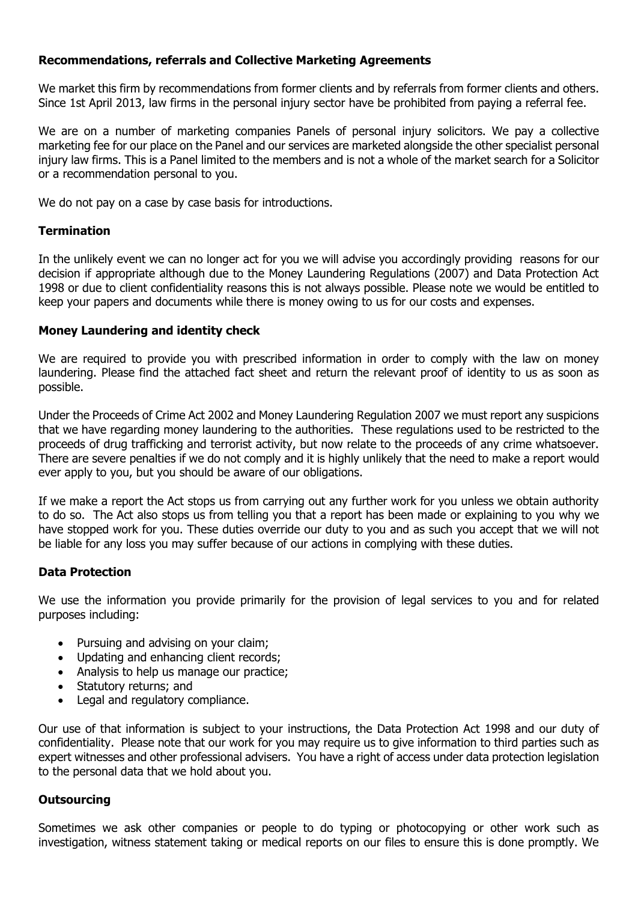## **Recommendations, referrals and Collective Marketing Agreements**

We market this firm by recommendations from former clients and by referrals from former clients and others. Since 1st April 2013, law firms in the personal injury sector have be prohibited from paying a referral fee.

We are on a number of marketing companies Panels of personal injury solicitors. We pay a collective marketing fee for our place on the Panel and our services are marketed alongside the other specialist personal injury law firms. This is a Panel limited to the members and is not a whole of the market search for a Solicitor or a recommendation personal to you.

We do not pay on a case by case basis for introductions.

#### **Termination**

In the unlikely event we can no longer act for you we will advise you accordingly providing reasons for our decision if appropriate although due to the Money Laundering Regulations (2007) and Data Protection Act 1998 or due to client confidentiality reasons this is not always possible. Please note we would be entitled to keep your papers and documents while there is money owing to us for our costs and expenses.

#### **Money Laundering and identity check**

We are required to provide you with prescribed information in order to comply with the law on money laundering. Please find the attached fact sheet and return the relevant proof of identity to us as soon as possible.

Under the Proceeds of Crime Act 2002 and Money Laundering Regulation 2007 we must report any suspicions that we have regarding money laundering to the authorities. These regulations used to be restricted to the proceeds of drug trafficking and terrorist activity, but now relate to the proceeds of any crime whatsoever. There are severe penalties if we do not comply and it is highly unlikely that the need to make a report would ever apply to you, but you should be aware of our obligations.

If we make a report the Act stops us from carrying out any further work for you unless we obtain authority to do so. The Act also stops us from telling you that a report has been made or explaining to you why we have stopped work for you. These duties override our duty to you and as such you accept that we will not be liable for any loss you may suffer because of our actions in complying with these duties.

## **Data Protection**

We use the information you provide primarily for the provision of legal services to you and for related purposes including:

- Pursuing and advising on your claim;
- Updating and enhancing client records:
- Analysis to help us manage our practice;
- Statutory returns; and
- Legal and regulatory compliance.

Our use of that information is subject to your instructions, the Data Protection Act 1998 and our duty of confidentiality. Please note that our work for you may require us to give information to third parties such as expert witnesses and other professional advisers. You have a right of access under data protection legislation to the personal data that we hold about you.

#### **Outsourcing**

Sometimes we ask other companies or people to do typing or photocopying or other work such as investigation, witness statement taking or medical reports on our files to ensure this is done promptly. We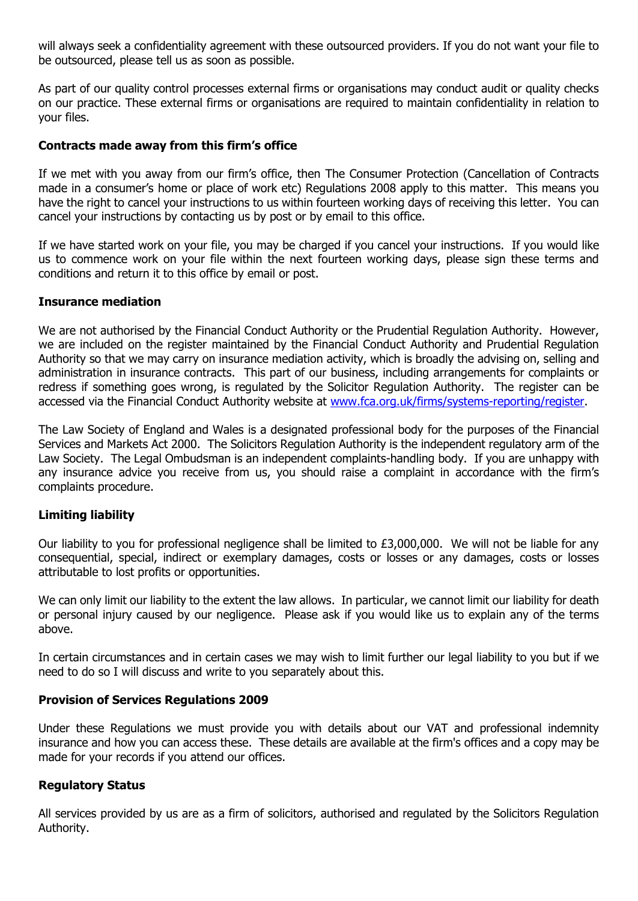will always seek a confidentiality agreement with these outsourced providers. If you do not want your file to be outsourced, please tell us as soon as possible.

As part of our quality control processes external firms or organisations may conduct audit or quality checks on our practice. These external firms or organisations are required to maintain confidentiality in relation to your files.

#### **Contracts made away from this firm's office**

If we met with you away from our firm's office, then The Consumer Protection (Cancellation of Contracts made in a consumer's home or place of work etc) Regulations 2008 apply to this matter. This means you have the right to cancel your instructions to us within fourteen working days of receiving this letter. You can cancel your instructions by contacting us by post or by email to this office.

If we have started work on your file, you may be charged if you cancel your instructions. If you would like us to commence work on your file within the next fourteen working days, please sign these terms and conditions and return it to this office by email or post.

#### **Insurance mediation**

We are not authorised by the Financial Conduct Authority or the Prudential Regulation Authority. However, we are included on the register maintained by the Financial Conduct Authority and Prudential Regulation Authority so that we may carry on insurance mediation activity, which is broadly the advising on, selling and administration in insurance contracts. This part of our business, including arrangements for complaints or redress if something goes wrong, is regulated by the Solicitor Regulation Authority. The register can be accessed via the Financial Conduct Authority website at [www.fca.org.uk/firms/systems-reporting/register.](file://///ecl-sv-STORAGE/shareddata/T%20Drive/Client%20Data%20-%20backed%20up/Bee%20Legal/www.fca.org.uk/firms/systems-reporting/register)

The Law Society of England and Wales is a designated professional body for the purposes of the Financial Services and Markets Act 2000. The Solicitors Regulation Authority is the independent regulatory arm of the Law Society. The Legal Ombudsman is an independent complaints-handling body. If you are unhappy with any insurance advice you receive from us, you should raise a complaint in accordance with the firm's complaints procedure.

#### **Limiting liability**

Our liability to you for professional negligence shall be limited to £3,000,000. We will not be liable for any consequential, special, indirect or exemplary damages, costs or losses or any damages, costs or losses attributable to lost profits or opportunities.

We can only limit our liability to the extent the law allows. In particular, we cannot limit our liability for death or personal injury caused by our negligence. Please ask if you would like us to explain any of the terms above.

In certain circumstances and in certain cases we may wish to limit further our legal liability to you but if we need to do so I will discuss and write to you separately about this.

#### **Provision of Services Regulations 2009**

Under these Regulations we must provide you with details about our VAT and professional indemnity insurance and how you can access these. These details are available at the firm's offices and a copy may be made for your records if you attend our offices.

#### **Regulatory Status**

All services provided by us are as a firm of solicitors, authorised and regulated by the Solicitors Regulation Authority.